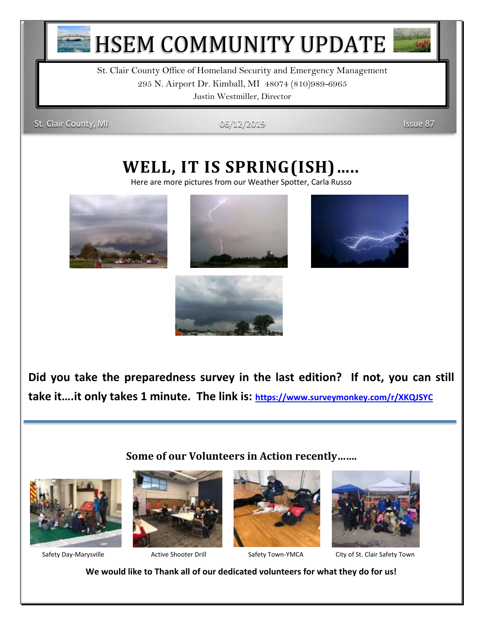

**HSEM COMMUNITY UPDATE** 

St. Clair County Office of Homeland Security and Emergency Management 295 N. Airport Dr. Kimball, MI 48074 (810)989-6965 Justin Westmiller, Director

St. Clair County, MI 06/12/2019 **ISSUE 87** 

# **WELL, IT IS SPRING(ISH)…..**

Here are more pictures from our Weather Spotter, Carla Russo









**Did you take the preparedness survey in the last edition? If not, you can still take it….it only takes 1 minute. The link is: <https://www.surveymonkey.com/r/XKQJSYC>**

### **Some of our Volunteers in Action recently…….**











Safety Day-Marysville **Active Shooter Drill Safety Town-YMCA** City of St. Clair Safety Town

**We would like to Thank all of our dedicated volunteers for what they do for us!**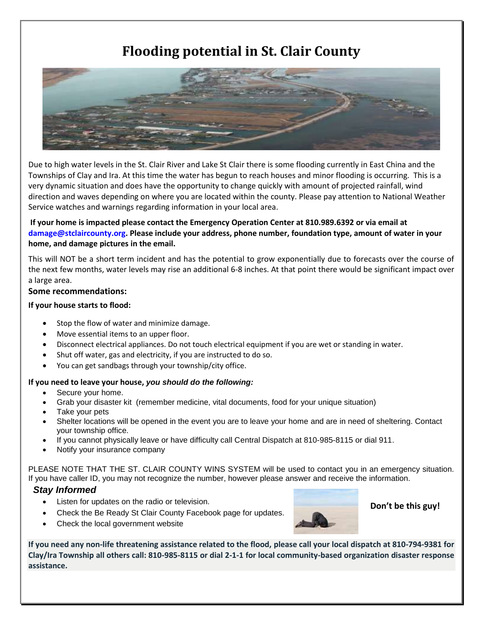# **Flooding potential in St. Clair County**



Due to high water levels in the St. Clair River and Lake St Clair there is some flooding currently in East China and the Townships of Clay and Ira. At this time the water has begun to reach houses and minor flooding is occurring. This is a very dynamic situation and does have the opportunity to change quickly with amount of projected rainfall, wind direction and waves depending on where you are located within the county. Please pay attention to National Weather Service watches and warnings regarding information in your local area.

### **If your home is impacted please contact the Emergency Operation Center at 810.989.6392 or via email at damage@stclaircounty.org. Please include your address, phone number, foundation type, amount of water in your home, and damage pictures in the email.**

This will NOT be a short term incident and has the potential to grow exponentially due to forecasts over the course of the next few months, water levels may rise an additional 6-8 inches. At that point there would be significant impact over a large area.

#### **Some recommendations:**

#### **If your house starts to flood:**

- Stop the flow of water and minimize damage.
- Move essential items to an upper floor.
- Disconnect electrical appliances. Do not touch electrical equipment if you are wet or standing in water.
- Shut off water, gas and electricity, if you are instructed to do so.
- You can get sandbags through your township/city office.

#### **If you need to leave your house,** *you should do the following:*

- Secure your home.
- Grab your disaster kit (remember medicine, vital documents, food for your unique situation)
- Take your pets
- Shelter locations will be opened in the event you are to leave your home and are in need of sheltering. Contact your township office.
- If you cannot physically leave or have difficulty call Central Dispatch at 810-985-8115 or dial 911.
- Notify your insurance company

PLEASE NOTE THAT THE ST. CLAIR COUNTY WINS SYSTEM will be used to contact you in an emergency situation. If you have caller ID, you may not recognize the number, however please answer and receive the information.

### *Stay Informed*

- Listen for updates on the radio or television.
	- Check the Be Ready St Clair County Facebook page for updates.
- Check the local government website



### **Don't be this guy!**

**If you need any non-life threatening assistance related to the flood, please call your local dispatch at 810-794-9381 for Clay/Ira Township all others call: 810-985-8115 or dial 2-1-1 for local community-based organization disaster response assistance.**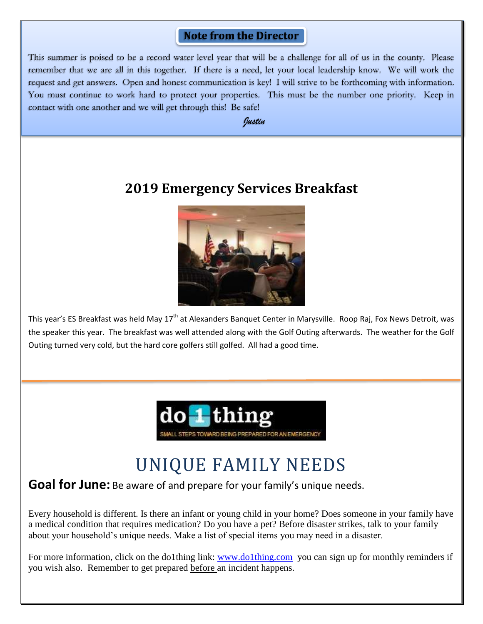### **Note from the Director**

This summer is poised to be a record water level year that will be a challenge for all of us in the county. Please remember that we are all in this together. If there is a need, let your local leadership know. We will work the request and get answers. Open and honest communication is key! I will strive to be forthcoming with information. You must continue to work hard to protect your properties. This must be the number one priority. Keep in contact with one another and we will get through this! Be safe!

*Justin* 

# **2019 Emergency Services Breakfast**



This year's ES Breakfast was held May 17<sup>th</sup> at Alexanders Banquet Center in Marysville. Roop Raj, Fox News Detroit, was the speaker this year. The breakfast was well attended along with the Golf Outing afterwards. The weather for the Golf Outing turned very cold, but the hard core golfers still golfed. All had a good time.



# UNIQUE FAMILY NEEDS

### **Goal for June:** Be aware of and prepare for your family's unique needs.

Every household is different. Is there an infant or young child in your home? Does someone in your family have a medical condition that requires medication? Do you have a pet? Before disaster strikes, talk to your family about your household's unique needs. Make a list of special items you may need in a disaster.

For more information, click on the do1thing link: [www.do1thing.com](http://www.do1thing.com/) you can sign up for monthly reminders if you wish also. Remember to get prepared before an incident happens.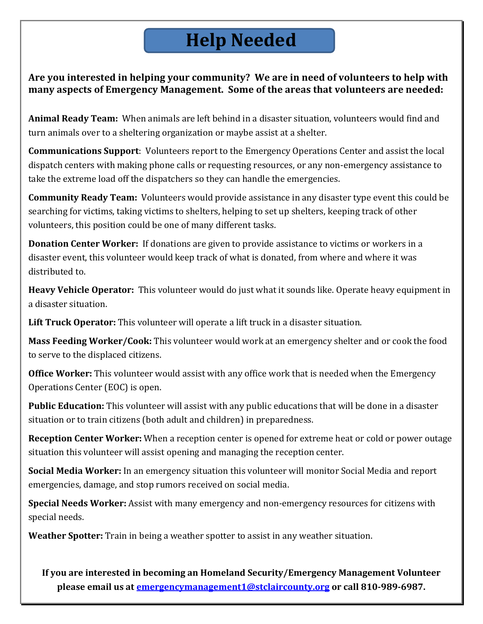# **Help Needed**

**Are you interested in helping your community? We are in need of volunteers to help with many aspects of Emergency Management. Some of the areas that volunteers are needed:**

**Animal Ready Team:** When animals are left behind in a disaster situation, volunteers would find and turn animals over to a sheltering organization or maybe assist at a shelter.

**Communications Support**: Volunteers report to the Emergency Operations Center and assist the local dispatch centers with making phone calls or requesting resources, or any non-emergency assistance to take the extreme load off the dispatchers so they can handle the emergencies.

**Community Ready Team:** Volunteers would provide assistance in any disaster type event this could be searching for victims, taking victims to shelters, helping to set up shelters, keeping track of other volunteers, this position could be one of many different tasks.

**Donation Center Worker:** If donations are given to provide assistance to victims or workers in a disaster event, this volunteer would keep track of what is donated, from where and where it was distributed to.

**Heavy Vehicle Operator:** This volunteer would do just what it sounds like. Operate heavy equipment in a disaster situation.

**Lift Truck Operator:** This volunteer will operate a lift truck in a disaster situation.

**Mass Feeding Worker/Cook:** This volunteer would work at an emergency shelter and or cook the food to serve to the displaced citizens.

**Office Worker:** This volunteer would assist with any office work that is needed when the Emergency Operations Center (EOC) is open.

**Public Education:** This volunteer will assist with any public educations that will be done in a disaster situation or to train citizens (both adult and children) in preparedness.

**Reception Center Worker:** When a reception center is opened for extreme heat or cold or power outage situation this volunteer will assist opening and managing the reception center.

**Social Media Worker:** In an emergency situation this volunteer will monitor Social Media and report emergencies, damage, and stop rumors received on social media.

**Special Needs Worker:** Assist with many emergency and non-emergency resources for citizens with special needs.

**Weather Spotter:** Train in being a weather spotter to assist in any weather situation.

**If you are interested in becoming an Homeland Security/Emergency Management Volunteer please email us at [emergencymanagement1@stclaircounty.org](mailto:emergencymanagement1@stclaircounty.org) or call 810-989-6987.**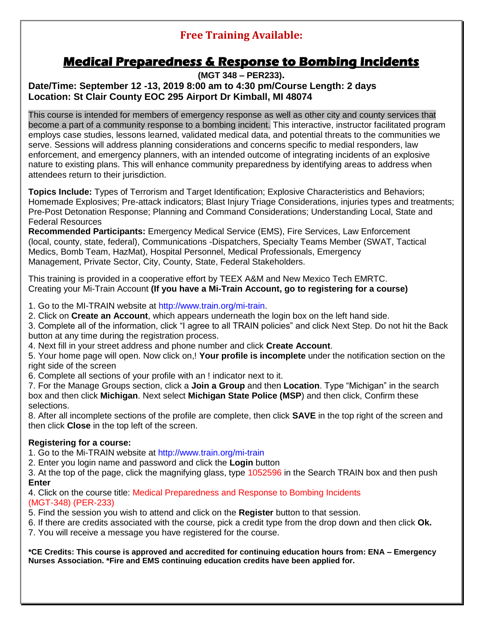## **Free Training Available:**

## **Medical Preparedness & Response to Bombing Incidents**

### **(MGT 348 – PER233). Date/Time: September 12 -13, 2019 8:00 am to 4:30 pm/Course Length: 2 days Location: St Clair County EOC 295 Airport Dr Kimball, MI 48074**

This course is intended for members of emergency response as well as other city and county services that become a part of a community response to a bombing incident. This interactive, instructor facilitated program employs case studies, lessons learned, validated medical data, and potential threats to the communities we serve. Sessions will address planning considerations and concerns specific to medial responders, law enforcement, and emergency planners, with an intended outcome of integrating incidents of an explosive nature to existing plans. This will enhance community preparedness by identifying areas to address when attendees return to their jurisdiction.

**Topics Include:** Types of Terrorism and Target Identification; Explosive Characteristics and Behaviors; Homemade Explosives; Pre-attack indicators; Blast Injury Triage Considerations, injuries types and treatments; Pre-Post Detonation Response; Planning and Command Considerations; Understanding Local, State and Federal Resources

**Recommended Participants:** Emergency Medical Service (EMS), Fire Services, Law Enforcement (local, county, state, federal), Communications -Dispatchers, Specialty Teams Member (SWAT, Tactical Medics, Bomb Team, HazMat), Hospital Personnel, Medical Professionals, Emergency Management, Private Sector, City, County, State, Federal Stakeholders.

This training is provided in a cooperative effort by TEEX A&M and New Mexico Tech EMRTC. Creating your Mi-Train Account **(If you have a Mi-Train Account, go to registering for a course)**

1. Go to the MI-TRAIN website at http://www.train.org/mi-train.

2. Click on **Create an Account**, which appears underneath the login box on the left hand side.

3. Complete all of the information, click "I agree to all TRAIN policies" and click Next Step. Do not hit the Back button at any time during the registration process.

4. Next fill in your street address and phone number and click **Create Account**.

5. Your home page will open. Now click on,! **Your profile is incomplete** under the notification section on the right side of the screen

6. Complete all sections of your profile with an ! indicator next to it.

7. For the Manage Groups section, click a **Join a Group** and then **Location**. Type "Michigan" in the search box and then click **Michigan**. Next select **Michigan State Police (MSP**) and then click, Confirm these selections.

8. After all incomplete sections of the profile are complete, then click **SAVE** in the top right of the screen and then click **Close** in the top left of the screen.

### **Registering for a course:**

1. Go to the Mi-TRAIN website at http://www.train.org/mi-train

2. Enter you login name and password and click the **Login** button

3. At the top of the page, click the magnifying glass, type 1052596 in the Search TRAIN box and then push **Enter**

4. Click on the course title: Medical Preparedness and Response to Bombing Incidents (MGT-348) (PER-233)

5. Find the session you wish to attend and click on the **Register** button to that session.

6. If there are credits associated with the course, pick a credit type from the drop down and then click **Ok.**

7. You will receive a message you have registered for the course.

**\*CE Credits: This course is approved and accredited for continuing education hours from: ENA – Emergency Nurses Association. \*Fire and EMS continuing education credits have been applied for.**